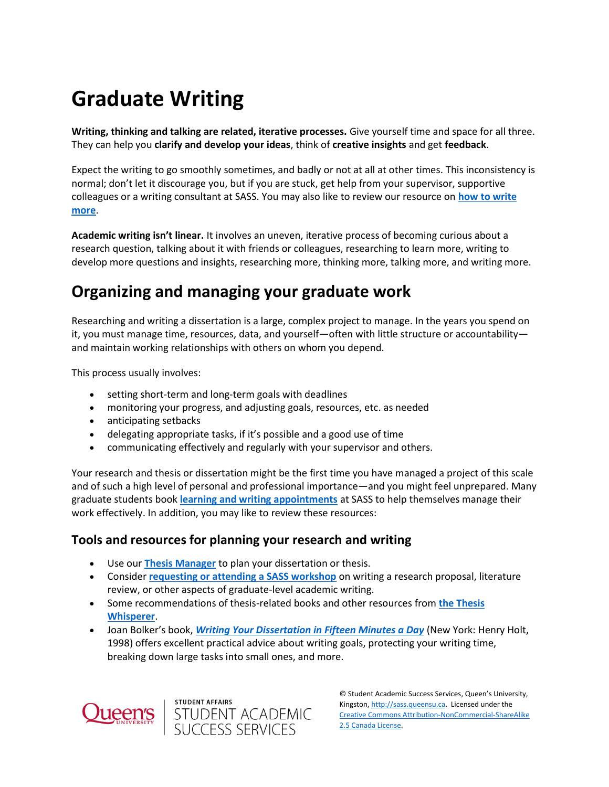# **Graduate Writing**

**Writing, thinking and talking are related, iterative processes.** Give yourself time and space for all three. They can help you **clarify and develop your ideas**, think of **creative insights** and get **feedback**.

Expect the writing to go smoothly sometimes, and badly or not at all at other times. This inconsistency is normal; don't let it discourage you, but if you are stuck, get help from your supervisor, supportive colleagues or a writing consultant at SASS. You may also like to review our resource on **[how to write](https://wp3-dev.its.queensu.ca/ha/sasswww/how-write-more)  [more](https://wp3-dev.its.queensu.ca/ha/sasswww/how-write-more)**.

**Academic writing isn't linear.** It involves an uneven, iterative process of becoming curious about a research question, talking about it with friends or colleagues, researching to learn more, writing to develop more questions and insights, researching more, thinking more, talking more, and writing more.

# **Organizing and managing your graduate work**

Researching and writing a dissertation is a large, complex project to manage. In the years you spend on it, you must manage time, resources, data, and yourself—often with little structure or accountability and maintain working relationships with others on whom you depend.

This process usually involves:

- setting short-term and long-term goals with deadlines
- monitoring your progress, and adjusting goals, resources, etc. as needed
- anticipating setbacks
- delegating appropriate tasks, if it's possible and a good use of time
- communicating effectively and regularly with your supervisor and others.

Your research and thesis or dissertation might be the first time you have managed a project of this scale and of such a high level of personal and professional importance—and you might feel unprepared. Many graduate students book **[learning and writing appointments](https://wp3-dev.its.queensu.ca/ha/sasswww/academic-support/appointments)** at SASS to help themselves manage their work effectively. In addition, you may like to review these resources:

### **Tools and resources for planning your research and writing**

- Use our **[Thesis Manager](https://www.queensu.ca/sgs/research/thesis-dissertation-showcase)** to plan your dissertation or thesis.
- Consider **[requesting or attending a SASS workshop](https://wp3-dev.its.queensu.ca/ha/sasswww/events-workshops/about-our-events-workshops)** on writing a research proposal, literature review, or other aspects of graduate-level academic writing.
- Some recommendations of thesis-related books and other resources from **[the Thesis](https://thesiswhisperer.com/highly-recommended/)  [Whisperer](https://thesiswhisperer.com/highly-recommended/)**.
- Joan Bolker's book, *[Writing Your Dissertation in Fifteen Minutes a Day](https://qcat.library.queensu.ca/vwebv/holdingsInfo?bibId=3804871)* (New York: Henry Holt, 1998) offers excellent practical advice about writing goals, protecting your writing time, breaking down large tasks into small ones, and more.



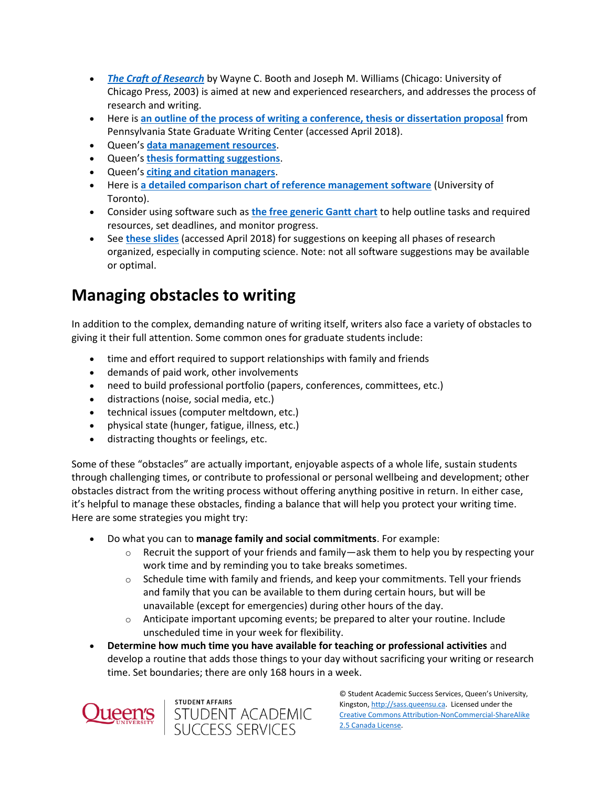- *[The Craft of Research](https://qcat.library.queensu.ca/vwebv/holdingsInfo?searchId=222928&recCount=25&recPointer=0&bibId=4670508)* by Wayne C. Booth and Joseph M. Williams (Chicago: University of Chicago Press, 2003) is aimed at new and experienced researchers, and addresses the process of research and writing.
- Here is **[an outline of the process of writing a conference, thesis or dissertation proposal](https://sites.psu.edu/writingandrhetoric/files/2016/09/Writing-Conference-Thesis-and-Dissertation-Proposals-John-Fall-2010-umrd2t.pdf)** from Pennsylvania State Graduate Writing Center (accessed April 2018).
- Queen's **[data management resources](https://library.queensu.ca/help-services/research-data-management)**.
- Queen's **[thesis formatting suggestions](https://queensu.ca/sgs/thesis-formatting-other-resources)**.
- Queen's **[citing and citation managers](https://guides.library.queensu.ca/citing-and-citation-managers)**.
- Here is **[a detailed comparison chart of reference management software](https://guides.library.utoronto.ca/c.php?g=250610&p=1671260)** (University of Toronto).
- Consider using software such as **[the free generic Gantt chart](https://ganttproject.biz/)** to help outline tasks and required resources, set deadlines, and monitor progress.
- See **[these slides](https://cs.queensu.ca/~audrey/papers/GHC2009.BOFslides.pdf)** (accessed April 2018) for suggestions on keeping all phases of research organized, especially in computing science. Note: not all software suggestions may be available or optimal.

# **Managing obstacles to writing**

In addition to the complex, demanding nature of writing itself, writers also face a variety of obstacles to giving it their full attention. Some common ones for graduate students include:

- time and effort required to support relationships with family and friends
- demands of paid work, other involvements
- need to build professional portfolio (papers, conferences, committees, etc.)
- distractions (noise, social media, etc.)
- technical issues (computer meltdown, etc.)
- physical state (hunger, fatigue, illness, etc.)
- distracting thoughts or feelings, etc.

Some of these "obstacles" are actually important, enjoyable aspects of a whole life, sustain students through challenging times, or contribute to professional or personal wellbeing and development; other obstacles distract from the writing process without offering anything positive in return. In either case, it's helpful to manage these obstacles, finding a balance that will help you protect your writing time. Here are some strategies you might try:

- Do what you can to **manage family and social commitments**. For example:
	- $\circ$  Recruit the support of your friends and family—ask them to help you by respecting your work time and by reminding you to take breaks sometimes.
	- $\circ$  Schedule time with family and friends, and keep your commitments. Tell your friends and family that you can be available to them during certain hours, but will be unavailable (except for emergencies) during other hours of the day.
	- $\circ$  Anticipate important upcoming events; be prepared to alter your routine. Include unscheduled time in your week for flexibility.
- **Determine how much time you have available for teaching or professional activities** and develop a routine that adds those things to your day without sacrificing your writing or research time. Set boundaries; there are only 168 hours in a week.



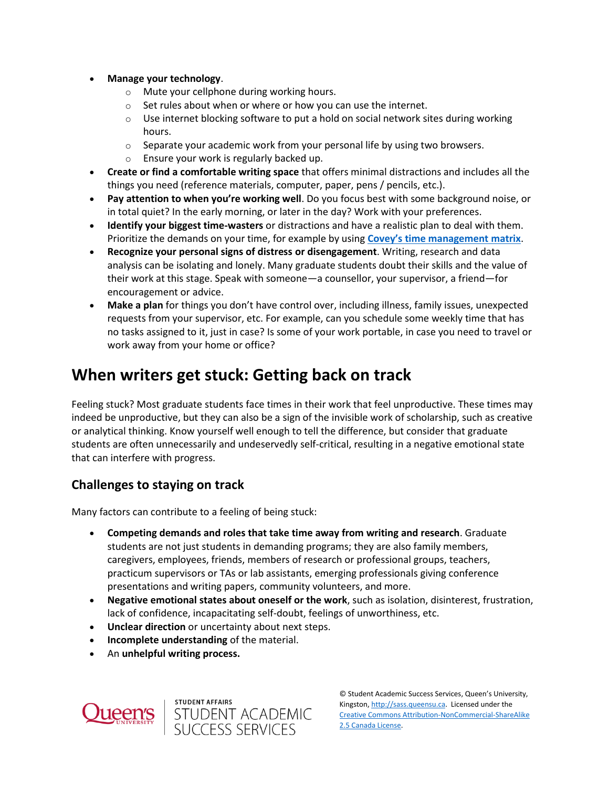- **Manage your technology**.
	- o Mute your cellphone during working hours.
	- $\circ$  Set rules about when or where or how you can use the internet.
	- $\circ$  Use internet blocking software to put a hold on social network sites during working hours.
	- $\circ$  Separate your academic work from your personal life by using two browsers.
	- o Ensure your work is regularly backed up.
- **Create or find a comfortable writing space** that offers minimal distractions and includes all the things you need (reference materials, computer, paper, pens / pencils, etc.).
- **Pay attention to when you're working well**. Do you focus best with some background noise, or in total quiet? In the early morning, or later in the day? Work with your preferences.
- **Identify your biggest time-wasters** or distractions and have a realistic plan to deal with them. Prioritize the demands on your time, for example by using **[Covey's time management matrix](https://sass.queensu.ca/wp-content/uploads/2017/10/Time-Management-Matrix.pdf)**.
- **Recognize your personal signs of distress or disengagement**. Writing, research and data analysis can be isolating and lonely. Many graduate students doubt their skills and the value of their work at this stage. Speak with someone—a counsellor, your supervisor, a friend—for encouragement or advice.
- **Make a plan** for things you don't have control over, including illness, family issues, unexpected requests from your supervisor, etc. For example, can you schedule some weekly time that has no tasks assigned to it, just in case? Is some of your work portable, in case you need to travel or work away from your home or office?

## **When writers get stuck: Getting back on track**

Feeling stuck? Most graduate students face times in their work that feel unproductive. These times may indeed be unproductive, but they can also be a sign of the invisible work of scholarship, such as creative or analytical thinking. Know yourself well enough to tell the difference, but consider that graduate students are often unnecessarily and undeservedly self-critical, resulting in a negative emotional state that can interfere with progress.

### **Challenges to staying on track**

Many factors can contribute to a feeling of being stuck:

- **Competing demands and roles that take time away from writing and research**. Graduate students are not just students in demanding programs; they are also family members, caregivers, employees, friends, members of research or professional groups, teachers, practicum supervisors or TAs or lab assistants, emerging professionals giving conference presentations and writing papers, community volunteers, and more.
- **Negative emotional states about oneself or the work**, such as isolation, disinterest, frustration, lack of confidence, incapacitating self-doubt, feelings of unworthiness, etc.
- **Unclear direction** or uncertainty about next steps.

student affairs<br>STUDENT ACADEMIC<br>SUCCESS SERVICES

- **Incomplete understanding** of the material.
- An **unhelpful writing process.**

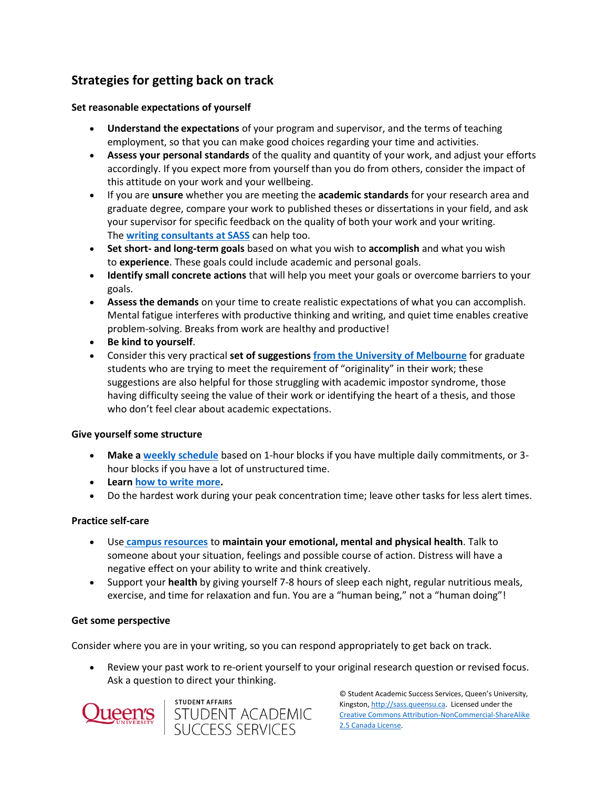### **Strategies for getting back on track**

#### **Set reasonable expectations of yourself**

- **Understand the expectations** of your program and supervisor, and the terms of teaching employment, so that you can make good choices regarding your time and activities.
- **Assess your personal standards** of the quality and quantity of your work, and adjust your efforts accordingly. If you expect more from yourself than you do from others, consider the impact of this attitude on your work and your wellbeing.
- If you are **unsure** whether you are meeting the **academic standards** for your research area and graduate degree, compare your work to published theses or dissertations in your field, and ask your supervisor for specific feedback on the quality of both your work and your writing. The **[writing consultants at SASS](https://wp3-dev.its.queensu.ca/ha/sasswww/academic-support/appointments)** can help too.
- **Set short- and long-term goals** based on what you wish to **accomplish** and what you wish to **experience**. These goals could include academic and personal goals.
- **Identify small concrete actions** that will help you meet your goals or overcome barriers to your goals.
- **Assess the demands** on your time to create realistic expectations of what you can accomplish. Mental fatigue interferes with productive thinking and writing, and quiet time enables creative problem-solving. Breaks from work are healthy and productive!
- **Be kind to yourself**.
- Consider this very practical **set of suggestions [from the University of Melbourne](https://services.unimelb.edu.au/__data/assets/pdf_file/0009/471267/Developing_originality_Update_051112.pdf)** for graduate students who are trying to meet the requirement of "originality" in their work; these suggestions are also helpful for those struggling with academic impostor syndrome, those having difficulty seeing the value of their work or identifying the heart of a thesis, and those who don't feel clear about academic expectations.

#### **Give yourself some structure**

- **Make a [weekly schedule](https://sass.queensu.ca/wp-content/uploads/2018/06/Weekly-Schedule-Template-Fillable.pdf)** based on 1-hour blocks if you have multiple daily commitments, or 3 hour blocks if you have a lot of unstructured time.
- **Learn [how to write more.](https://wp3-dev.its.queensu.ca/ha/sasswww/how-write-more)**
- Do the hardest work during your peak concentration time; leave other tasks for less alert times.

#### **Practice self-care**

- Use **[campus resources](https://wp3-dev.its.queensu.ca/ha/sasswww/resources/academic-stress)** to **maintain your emotional, mental and physical health**. Talk to someone about your situation, feelings and possible course of action. Distress will have a negative effect on your ability to write and think creatively.
- Support your **health** by giving yourself 7-8 hours of sleep each night, regular nutritious meals, exercise, and time for relaxation and fun. You are a "human being," not a "human doing"!

#### **Get some perspective**

Consider where you are in your writing, so you can respond appropriately to get back on track.

 Review your past work to re-orient yourself to your original research question or revised focus. Ask a question to direct your thinking.



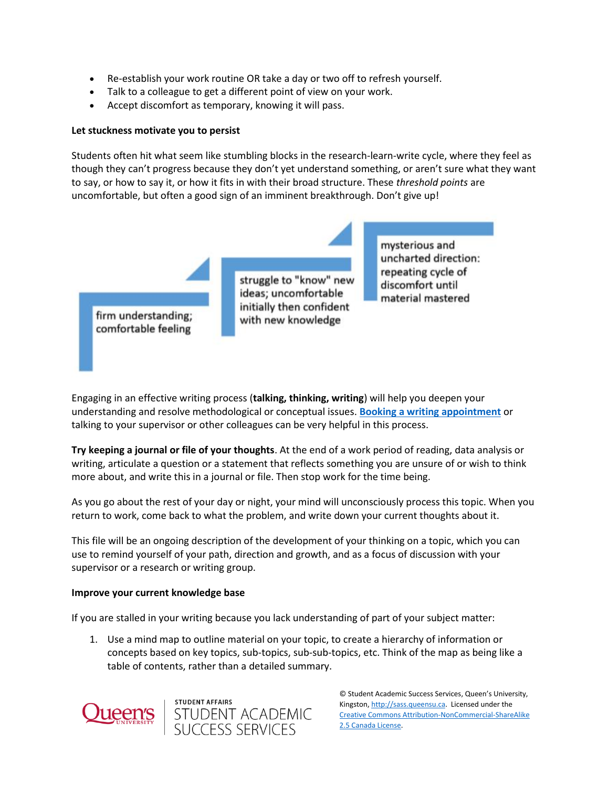- Re-establish your work routine OR take a day or two off to refresh yourself.
- Talk to a colleague to get a different point of view on your work.
- Accept discomfort as temporary, knowing it will pass.

#### **Let stuckness motivate you to persist**

Students often hit what seem like stumbling blocks in the research-learn-write cycle, where they feel as though they can't progress because they don't yet understand something, or aren't sure what they want to say, or how to say it, or how it fits in with their broad structure. These *threshold points* are uncomfortable, but often a good sign of an imminent breakthrough. Don't give up!



Engaging in an effective writing process (**talking, thinking, writing**) will help you deepen your understanding and resolve methodological or conceptual issues. **[Booking a writing appointment](https://wp3-dev.its.queensu.ca/ha/sasswww/academic-support/appointments)** or talking to your supervisor or other colleagues can be very helpful in this process.

**Try keeping a journal or file of your thoughts**. At the end of a work period of reading, data analysis or writing, articulate a question or a statement that reflects something you are unsure of or wish to think more about, and write this in a journal or file. Then stop work for the time being.

As you go about the rest of your day or night, your mind will unconsciously process this topic. When you return to work, come back to what the problem, and write down your current thoughts about it.

This file will be an ongoing description of the development of your thinking on a topic, which you can use to remind yourself of your path, direction and growth, and as a focus of discussion with your supervisor or a research or writing group.

#### **Improve your current knowledge base**

If you are stalled in your writing because you lack understanding of part of your subject matter:

STUDENT ACADEMIC<br>SUCCESS SERVICES

1. Use a mind map to outline material on your topic, to create a hierarchy of information or concepts based on key topics, sub-topics, sub-sub-topics, etc. Think of the map as being like a table of contents, rather than a detailed summary.